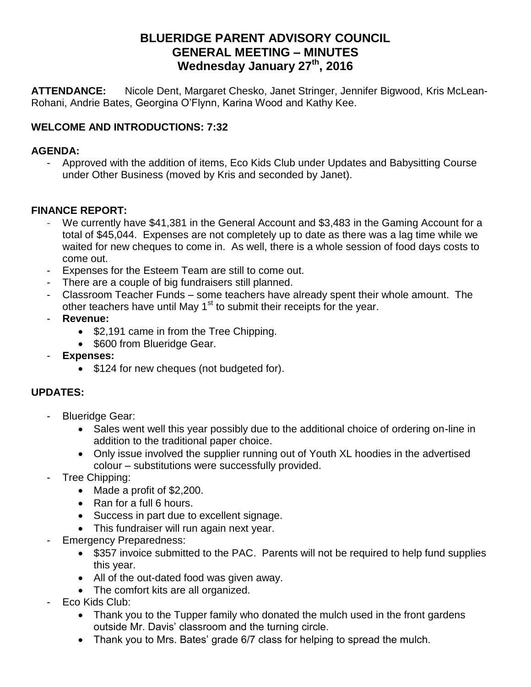## **BLUERIDGE PARENT ADVISORY COUNCIL GENERAL MEETING – MINUTES Wednesday January 27 th, 2016**

**ATTENDANCE:** Nicole Dent, Margaret Chesko, Janet Stringer, Jennifer Bigwood, Kris McLean-Rohani, Andrie Bates, Georgina O'Flynn, Karina Wood and Kathy Kee.

## **WELCOME AND INTRODUCTIONS: 7:32**

#### **AGENDA:**

- Approved with the addition of items, Eco Kids Club under Updates and Babysitting Course under Other Business (moved by Kris and seconded by Janet).

#### **FINANCE REPORT:**

- We currently have \$41,381 in the General Account and \$3,483 in the Gaming Account for a total of \$45,044. Expenses are not completely up to date as there was a lag time while we waited for new cheques to come in. As well, there is a whole session of food days costs to come out.
- Expenses for the Esteem Team are still to come out.
- There are a couple of big fundraisers still planned.
- Classroom Teacher Funds some teachers have already spent their whole amount. The other teachers have until May 1<sup>st</sup> to submit their receipts for the year.
- **Revenue:**
	- \$2,191 came in from the Tree Chipping.
	- \$600 from Blueridge Gear.
- **Expenses:**
	- \$124 for new cheques (not budgeted for).

### **UPDATES:**

- Blueridge Gear:
	- Sales went well this year possibly due to the additional choice of ordering on-line in addition to the traditional paper choice.
	- Only issue involved the supplier running out of Youth XL hoodies in the advertised colour – substitutions were successfully provided.
- Tree Chipping:
	- Made a profit of \$2,200.
	- Ran for a full 6 hours.
	- Success in part due to excellent signage.
	- This fundraiser will run again next year.
- Emergency Preparedness:
	- \$357 invoice submitted to the PAC. Parents will not be required to help fund supplies this year.
	- All of the out-dated food was given away.
	- The comfort kits are all organized.
- Eco Kids Club:
	- Thank you to the Tupper family who donated the mulch used in the front gardens outside Mr. Davis' classroom and the turning circle.
	- Thank you to Mrs. Bates' grade 6/7 class for helping to spread the mulch.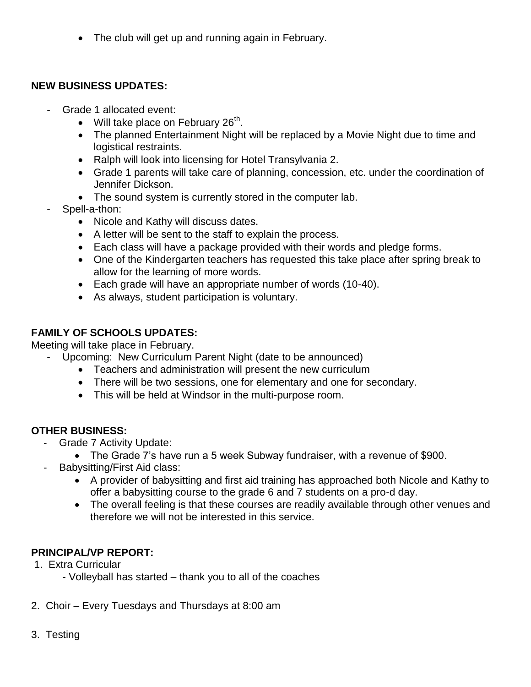• The club will get up and running again in February.

## **NEW BUSINESS UPDATES:**

- Grade 1 allocated event:
	- Will take place on February 26<sup>th</sup>.
	- The planned Entertainment Night will be replaced by a Movie Night due to time and logistical restraints.
	- Ralph will look into licensing for Hotel Transylvania 2.
	- Grade 1 parents will take care of planning, concession, etc. under the coordination of Jennifer Dickson.
	- The sound system is currently stored in the computer lab.
- Spell-a-thon:
	- Nicole and Kathy will discuss dates.
	- A letter will be sent to the staff to explain the process.
	- Each class will have a package provided with their words and pledge forms.
	- One of the Kindergarten teachers has requested this take place after spring break to allow for the learning of more words.
	- Each grade will have an appropriate number of words (10-40).
	- As always, student participation is voluntary.

## **FAMILY OF SCHOOLS UPDATES:**

Meeting will take place in February.

- Upcoming: New Curriculum Parent Night (date to be announced)
	- Teachers and administration will present the new curriculum
	- There will be two sessions, one for elementary and one for secondary.
	- This will be held at Windsor in the multi-purpose room.

### **OTHER BUSINESS:**

- Grade 7 Activity Update:
	- The Grade 7's have run a 5 week Subway fundraiser, with a revenue of \$900.
- Babysitting/First Aid class:
	- A provider of babysitting and first aid training has approached both Nicole and Kathy to offer a babysitting course to the grade 6 and 7 students on a pro-d day.
	- The overall feeling is that these courses are readily available through other venues and therefore we will not be interested in this service.

## **PRINCIPAL/VP REPORT:**

- 1. Extra Curricular
	- Volleyball has started thank you to all of the coaches
- 2. Choir Every Tuesdays and Thursdays at 8:00 am
- 3. Testing